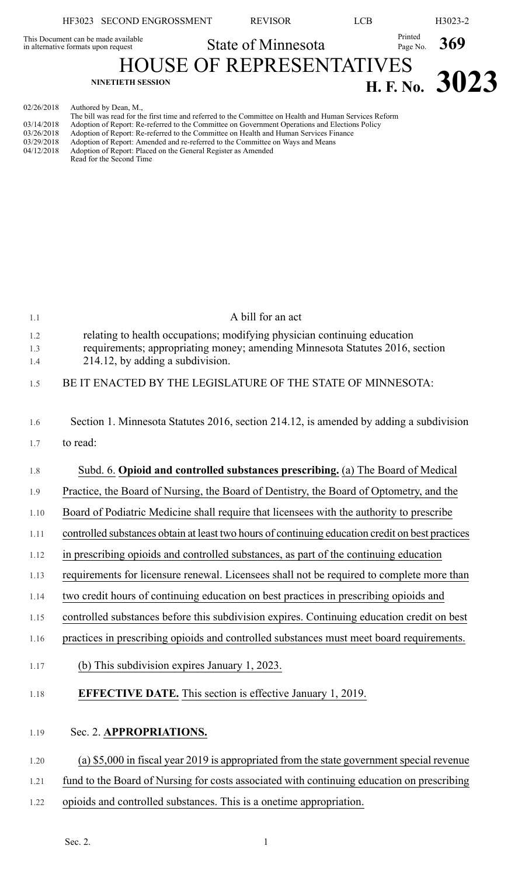|                                                                            | HF3023 SECOND ENGROSSMENT                                                                                                       | <b>REVISOR</b>                  | LCB                 | H3023-2          |
|----------------------------------------------------------------------------|---------------------------------------------------------------------------------------------------------------------------------|---------------------------------|---------------------|------------------|
| This Document can be made available<br>in alternative formats upon request |                                                                                                                                 | <b>State of Minnesota</b>       | Printed<br>Page No. | 369              |
|                                                                            | <b>NINETIETH SESSION</b>                                                                                                        | <b>HOUSE OF REPRESENTATIVES</b> |                     | H. F. No. $3023$ |
| 02/26/2018                                                                 | Authored by Dean, M.,<br>The bill was read for the first time and referred to the Committee on Health and Human Services Reform |                                 |                     |                  |

|            | The bill was read for the first time and referred to the Committee on Health and Human Services Reform |  |
|------------|--------------------------------------------------------------------------------------------------------|--|
| 03/14/2018 | Adoption of Report: Re-referred to the Committee on Government Operations and Elections Policy         |  |
| 03/26/2018 | Adoption of Report: Re-referred to the Committee on Health and Human Services Finance                  |  |
| 03/29/2018 | Adoption of Report: Amended and re-referred to the Committee on Ways and Means                         |  |
| 04/12/2018 | Adoption of Report: Placed on the General Register as Amended                                          |  |
|            | Read for the Second Time                                                                               |  |

| 1.1  | A bill for an act                                                                                |
|------|--------------------------------------------------------------------------------------------------|
| 1.2  | relating to health occupations; modifying physician continuing education                         |
| 1.3  | requirements; appropriating money; amending Minnesota Statutes 2016, section                     |
| 1.4  | 214.12, by adding a subdivision.                                                                 |
| 1.5  | BE IT ENACTED BY THE LEGISLATURE OF THE STATE OF MINNESOTA:                                      |
|      |                                                                                                  |
| 1.6  | Section 1. Minnesota Statutes 2016, section 214.12, is amended by adding a subdivision           |
| 1.7  | to read:                                                                                         |
| 1.8  | Subd. 6. Opioid and controlled substances prescribing. (a) The Board of Medical                  |
| 1.9  | Practice, the Board of Nursing, the Board of Dentistry, the Board of Optometry, and the          |
| 1.10 | Board of Podiatric Medicine shall require that licensees with the authority to prescribe         |
| 1.11 | controlled substances obtain at least two hours of continuing education credit on best practices |
| 1.12 | in prescribing opioids and controlled substances, as part of the continuing education            |
| 1.13 | requirements for licensure renewal. Licensees shall not be required to complete more than        |
| 1.14 | two credit hours of continuing education on best practices in prescribing opioids and            |
| 1.15 | controlled substances before this subdivision expires. Continuing education credit on best       |
| 1.16 | practices in prescribing opioids and controlled substances must meet board requirements.         |
| 1.17 | (b) This subdivision expires January 1, 2023.                                                    |
| 1.18 | <b>EFFECTIVE DATE.</b> This section is effective January 1, 2019.                                |
| 1.19 | Sec. 2. APPROPRIATIONS.                                                                          |
| 1.20 | (a) \$5,000 in fiscal year 2019 is appropriated from the state government special revenue        |
| 1.21 | fund to the Board of Nursing for costs associated with continuing education on prescribing       |
|      |                                                                                                  |
| 1.22 | opioids and controlled substances. This is a onetime appropriation.                              |
|      |                                                                                                  |

Sec. 2. 1